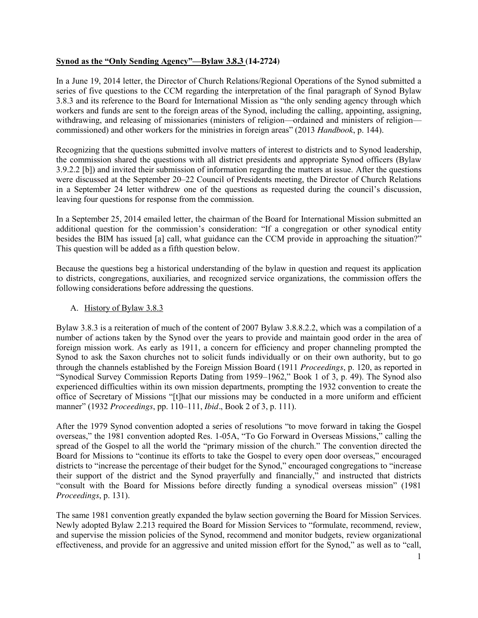### **Synod as the "Only Sending Agency"—Bylaw 3.8.3 (14-2724)**

In a June 19, 2014 letter, the Director of Church Relations/Regional Operations of the Synod submitted a series of five questions to the CCM regarding the interpretation of the final paragraph of Synod Bylaw 3.8.3 and its reference to the Board for International Mission as "the only sending agency through which workers and funds are sent to the foreign areas of the Synod, including the calling, appointing, assigning, withdrawing, and releasing of missionaries (ministers of religion—ordained and ministers of religion commissioned) and other workers for the ministries in foreign areas" (2013 *Handbook*, p. 144).

Recognizing that the questions submitted involve matters of interest to districts and to Synod leadership, the commission shared the questions with all district presidents and appropriate Synod officers (Bylaw 3.9.2.2 [b]) and invited their submission of information regarding the matters at issue. After the questions were discussed at the September 20–22 Council of Presidents meeting, the Director of Church Relations in a September 24 letter withdrew one of the questions as requested during the council's discussion, leaving four questions for response from the commission.

In a September 25, 2014 emailed letter, the chairman of the Board for International Mission submitted an additional question for the commission's consideration: "If a congregation or other synodical entity besides the BIM has issued [a] call, what guidance can the CCM provide in approaching the situation?" This question will be added as a fifth question below.

Because the questions beg a historical understanding of the bylaw in question and request its application to districts, congregations, auxiliaries, and recognized service organizations, the commission offers the following considerations before addressing the questions.

# A. History of Bylaw 3.8.3

Bylaw 3.8.3 is a reiteration of much of the content of 2007 Bylaw 3.8.8.2.2, which was a compilation of a number of actions taken by the Synod over the years to provide and maintain good order in the area of foreign mission work. As early as 1911, a concern for efficiency and proper channeling prompted the Synod to ask the Saxon churches not to solicit funds individually or on their own authority, but to go through the channels established by the Foreign Mission Board (1911 *Proceedings*, p. 120, as reported in "Synodical Survey Commission Reports Dating from 1959–1962," Book 1 of 3, p. 49). The Synod also experienced difficulties within its own mission departments, prompting the 1932 convention to create the office of Secretary of Missions "[t]hat our missions may be conducted in a more uniform and efficient manner" (1932 *Proceedings*, pp. 110–111, *Ibid.*, Book 2 of 3, p. 111).

After the 1979 Synod convention adopted a series of resolutions "to move forward in taking the Gospel overseas," the 1981 convention adopted Res. 1-05A, "To Go Forward in Overseas Missions," calling the spread of the Gospel to all the world the "primary mission of the church." The convention directed the Board for Missions to "continue its efforts to take the Gospel to every open door overseas," encouraged districts to "increase the percentage of their budget for the Synod," encouraged congregations to "increase their support of the district and the Synod prayerfully and financially," and instructed that districts "consult with the Board for Missions before directly funding a synodical overseas mission" (1981 *Proceedings*, p. 131).

The same 1981 convention greatly expanded the bylaw section governing the Board for Mission Services. Newly adopted Bylaw 2.213 required the Board for Mission Services to "formulate, recommend, review, and supervise the mission policies of the Synod, recommend and monitor budgets, review organizational effectiveness, and provide for an aggressive and united mission effort for the Synod," as well as to "call,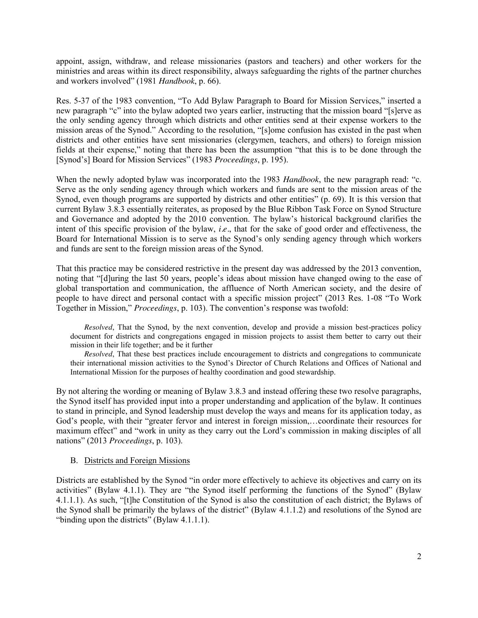appoint, assign, withdraw, and release missionaries (pastors and teachers) and other workers for the ministries and areas within its direct responsibility, always safeguarding the rights of the partner churches and workers involved" (1981 *Handbook*, p. 66).

Res. 5-37 of the 1983 convention, "To Add Bylaw Paragraph to Board for Mission Services," inserted a new paragraph "c" into the bylaw adopted two years earlier, instructing that the mission board "[s]erve as the only sending agency through which districts and other entities send at their expense workers to the mission areas of the Synod." According to the resolution, "[s]ome confusion has existed in the past when districts and other entities have sent missionaries (clergymen, teachers, and others) to foreign mission fields at their expense," noting that there has been the assumption "that this is to be done through the [Synod's] Board for Mission Services" (1983 *Proceedings*, p. 195).

When the newly adopted bylaw was incorporated into the 1983 *Handbook*, the new paragraph read: "c. Serve as the only sending agency through which workers and funds are sent to the mission areas of the Synod, even though programs are supported by districts and other entities" (p. 69). It is this version that current Bylaw 3.8.3 essentially reiterates, as proposed by the Blue Ribbon Task Force on Synod Structure and Governance and adopted by the 2010 convention. The bylaw's historical background clarifies the intent of this specific provision of the bylaw, *i.e.*, that for the sake of good order and effectiveness, the Board for International Mission is to serve as the Synod's only sending agency through which workers and funds are sent to the foreign mission areas of the Synod.

That this practice may be considered restrictive in the present day was addressed by the 2013 convention, noting that "[d]uring the last 50 years, people's ideas about mission have changed owing to the ease of global transportation and communication, the affluence of North American society, and the desire of people to have direct and personal contact with a specific mission project" (2013 Res. 1-08 "To Work Together in Mission," *Proceedings*, p. 103). The convention's response was twofold:

*Resolved*, That the Synod, by the next convention, develop and provide a mission best-practices policy document for districts and congregations engaged in mission projects to assist them better to carry out their mission in their life together; and be it further

*Resolved*, That these best practices include encouragement to districts and congregations to communicate their international mission activities to the Synod's Director of Church Relations and Offices of National and International Mission for the purposes of healthy coordination and good stewardship.

By not altering the wording or meaning of Bylaw 3.8.3 and instead offering these two resolve paragraphs, the Synod itself has provided input into a proper understanding and application of the bylaw. It continues to stand in principle, and Synod leadership must develop the ways and means for its application today, as God's people, with their "greater fervor and interest in foreign mission,…coordinate their resources for maximum effect" and "work in unity as they carry out the Lord's commission in making disciples of all nations" (2013 *Proceedings*, p. 103).

### B. Districts and Foreign Missions

Districts are established by the Synod "in order more effectively to achieve its objectives and carry on its activities" (Bylaw 4.1.1). They are "the Synod itself performing the functions of the Synod" (Bylaw 4.1.1.1). As such, "[t]he Constitution of the Synod is also the constitution of each district; the Bylaws of the Synod shall be primarily the bylaws of the district" (Bylaw 4.1.1.2) and resolutions of the Synod are "binding upon the districts" (Bylaw 4.1.1.1).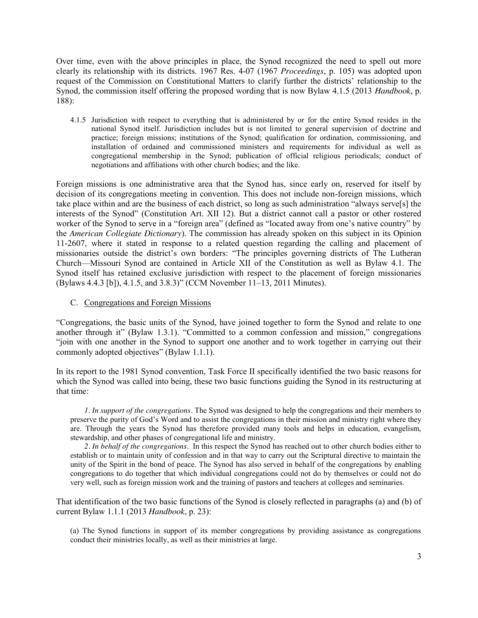Over time, even with the above principles in place, the Synod recognized the need to spell out more clearly its relationship with its districts. 1967 Res. 4-07 (1967 *Proceedings*, p. 105) was adopted upon request of the Commission on Constitutional Matters to clarify further the districts' relationship to the Synod, the commission itself offering the proposed wording that is now Bylaw 4.1.5 (2013 *Handbook*, p. 188):

4.1.5 Jurisdiction with respect to everything that is administered by or for the entire Synod resides in the national Synod itself. Jurisdiction includes but is not limited to general supervision of doctrine and practice; foreign missions; institutions of the Synod; qualification for ordination, commissioning, and installation of ordained and commissioned ministers and requirements for individual as well as congregational membership in the Synod; publication of official religious periodicals; conduct of negotiations and affiliations with other church bodies; and the like.

Foreign missions is one administrative area that the Synod has, since early on, reserved for itself by decision of its congregations meeting in convention. This does not include non-foreign missions, which take place within and are the business of each district, so long as such administration "always serve[s] the interests of the Synod" (Constitution Art. XII 12). But a district cannot call a pastor or other rostered worker of the Synod to serve in a "foreign area" (defined as "located away from one's native country" by the *American Collegiate Dictionary*). The commission has already spoken on this subject in its Opinion 11-2607, where it stated in response to a related question regarding the calling and placement of missionaries outside the district's own borders: "The principles governing districts of The Lutheran Church—Missouri Synod are contained in Article XII of the Constitution as well as Bylaw 4.1. The Synod itself has retained exclusive jurisdiction with respect to the placement of foreign missionaries (Bylaws 4.4.3 [b]), 4.1.5, and 3.8.3)" (CCM November 11–13, 2011 Minutes).

C. Congregations and Foreign Missions

"Congregations, the basic units of the Synod, have joined together to form the Synod and relate to one another through it" (Bylaw 1.3.1). "Committed to a common confession and mission," congregations "join with one another in the Synod to support one another and to work together in carrying out their commonly adopted objectives" (Bylaw 1.1.1).

In its report to the 1981 Synod convention, Task Force II specifically identified the two basic reasons for which the Synod was called into being, these two basic functions guiding the Synod in its restructuring at that time:

*1. In support of the congregations.* The Synod was designed to help the congregations and their members to preserve the purity of God's Word and to assist the congregations in their mission and ministry right where they are. Through the years the Synod has therefore provided many tools and helps in education, evangelism, stewardship, and other phases of congregational life and ministry.

*2. In behalf of the congregations.* In this respect the Synod has reached out to other church bodies either to establish or to maintain unity of confession and in that way to carry out the Scriptural directive to maintain the unity of the Spirit in the bond of peace. The Synod has also served in behalf of the congregations by enabling congregations to do together that which individual congregations could not do by themselves or could not do very well, such as foreign mission work and the training of pastors and teachers at colleges and seminaries.

That identification of the two basic functions of the Synod is closely reflected in paragraphs (a) and (b) of current Bylaw 1.1.1 (2013 *Handbook*, p. 23):

(a) The Synod functions in support of its member congregations by providing assistance as congregations conduct their ministries locally, as well as their ministries at large.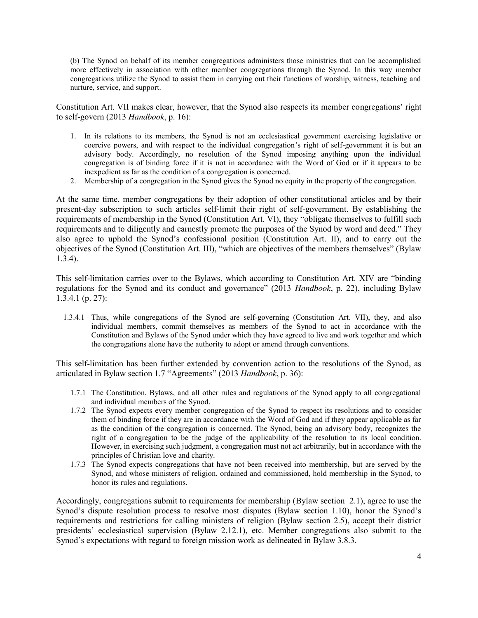(b) The Synod on behalf of its member congregations administers those ministries that can be accomplished more effectively in association with other member congregations through the Synod. In this way member congregations utilize the Synod to assist them in carrying out their functions of worship, witness, teaching and nurture, service, and support.

Constitution Art. VII makes clear, however, that the Synod also respects its member congregations' right to self-govern (2013 *Handbook*, p. 16):

- 1. In its relations to its members, the Synod is not an ecclesiastical government exercising legislative or coercive powers, and with respect to the individual congregation's right of self-government it is but an advisory body. Accordingly, no resolution of the Synod imposing anything upon the individual congregation is of binding force if it is not in accordance with the Word of God or if it appears to be inexpedient as far as the condition of a congregation is concerned.
- 2. Membership of a congregation in the Synod gives the Synod no equity in the property of the congregation.

At the same time, member congregations by their adoption of other constitutional articles and by their present-day subscription to such articles self-limit their right of self-government. By establishing the requirements of membership in the Synod (Constitution Art. VI), they "obligate themselves to fulfill such requirements and to diligently and earnestly promote the purposes of the Synod by word and deed." They also agree to uphold the Synod's confessional position (Constitution Art. II), and to carry out the objectives of the Synod (Constitution Art. III), "which are objectives of the members themselves" (Bylaw 1.3.4).

This self-limitation carries over to the Bylaws, which according to Constitution Art. XIV are "binding regulations for the Synod and its conduct and governance" (2013 *Handbook*, p. 22), including Bylaw 1.3.4.1 (p. 27):

1.3.4.1 Thus, while congregations of the Synod are self-governing (Constitution Art. VII), they, and also individual members, commit themselves as members of the Synod to act in accordance with the Constitution and Bylaws of the Synod under which they have agreed to live and work together and which the congregations alone have the authority to adopt or amend through conventions.

This self-limitation has been further extended by convention action to the resolutions of the Synod, as articulated in Bylaw section 1.7 "Agreements" (2013 *Handbook*, p. 36):

- 1.7.1 The Constitution, Bylaws, and all other rules and regulations of the Synod apply to all congregational and individual members of the Synod.
- 1.7.2 The Synod expects every member congregation of the Synod to respect its resolutions and to consider them of binding force if they are in accordance with the Word of God and if they appear applicable as far as the condition of the congregation is concerned. The Synod, being an advisory body, recognizes the right of a congregation to be the judge of the applicability of the resolution to its local condition. However, in exercising such judgment, a congregation must not act arbitrarily, but in accordance with the principles of Christian love and charity.
- 1.7.3 The Synod expects congregations that have not been received into membership, but are served by the Synod, and whose ministers of religion, ordained and commissioned, hold membership in the Synod, to honor its rules and regulations.

Accordingly, congregations submit to requirements for membership (Bylaw section 2.1), agree to use the Synod's dispute resolution process to resolve most disputes (Bylaw section 1.10), honor the Synod's requirements and restrictions for calling ministers of religion (Bylaw section 2.5), accept their district presidents' ecclesiastical supervision (Bylaw 2.12.1), etc. Member congregations also submit to the Synod's expectations with regard to foreign mission work as delineated in Bylaw 3.8.3.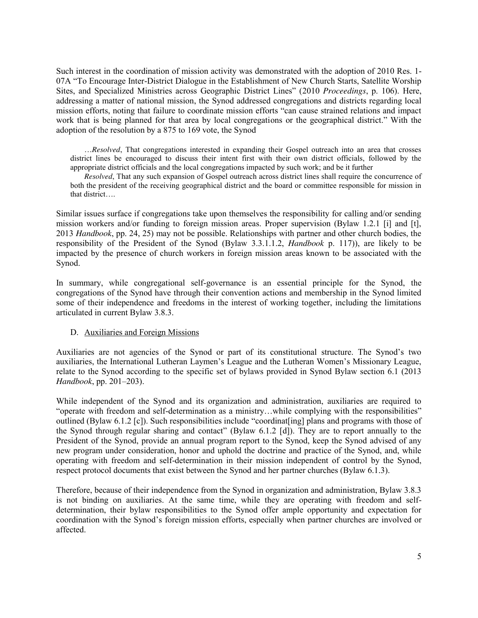Such interest in the coordination of mission activity was demonstrated with the adoption of 2010 Res. 1- 07A "To Encourage Inter-District Dialogue in the Establishment of New Church Starts, Satellite Worship Sites, and Specialized Ministries across Geographic District Lines" (2010 *Proceedings*, p. 106). Here, addressing a matter of national mission, the Synod addressed congregations and districts regarding local mission efforts, noting that failure to coordinate mission efforts "can cause strained relations and impact work that is being planned for that area by local congregations or the geographical district." With the adoption of the resolution by a 875 to 169 vote, the Synod

…*Resolved*, That congregations interested in expanding their Gospel outreach into an area that crosses district lines be encouraged to discuss their intent first with their own district officials, followed by the appropriate district officials and the local congregations impacted by such work; and be it further

*Resolved*, That any such expansion of Gospel outreach across district lines shall require the concurrence of both the president of the receiving geographical district and the board or committee responsible for mission in that district….

Similar issues surface if congregations take upon themselves the responsibility for calling and/or sending mission workers and/or funding to foreign mission areas. Proper supervision (Bylaw 1.2.1 [i] and [t], 2013 *Handbook*, pp. 24, 25) may not be possible. Relationships with partner and other church bodies, the responsibility of the President of the Synod (Bylaw 3.3.1.1.2, *Handbook* p. 117)), are likely to be impacted by the presence of church workers in foreign mission areas known to be associated with the Synod.

In summary, while congregational self-governance is an essential principle for the Synod, the congregations of the Synod have through their convention actions and membership in the Synod limited some of their independence and freedoms in the interest of working together, including the limitations articulated in current Bylaw 3.8.3.

#### D. Auxiliaries and Foreign Missions

Auxiliaries are not agencies of the Synod or part of its constitutional structure. The Synod's two auxiliaries, the International Lutheran Laymen's League and the Lutheran Women's Missionary League, relate to the Synod according to the specific set of bylaws provided in Synod Bylaw section 6.1 (2013 *Handbook*, pp. 201–203).

While independent of the Synod and its organization and administration, auxiliaries are required to "operate with freedom and self-determination as a ministry…while complying with the responsibilities" outlined (Bylaw 6.1.2 [c]). Such responsibilities include "coordinat[ing] plans and programs with those of the Synod through regular sharing and contact" (Bylaw 6.1.2 [d]). They are to report annually to the President of the Synod, provide an annual program report to the Synod, keep the Synod advised of any new program under consideration, honor and uphold the doctrine and practice of the Synod, and, while operating with freedom and self-determination in their mission independent of control by the Synod, respect protocol documents that exist between the Synod and her partner churches (Bylaw 6.1.3).

Therefore, because of their independence from the Synod in organization and administration, Bylaw 3.8.3 is not binding on auxiliaries. At the same time, while they are operating with freedom and selfdetermination, their bylaw responsibilities to the Synod offer ample opportunity and expectation for coordination with the Synod's foreign mission efforts, especially when partner churches are involved or affected.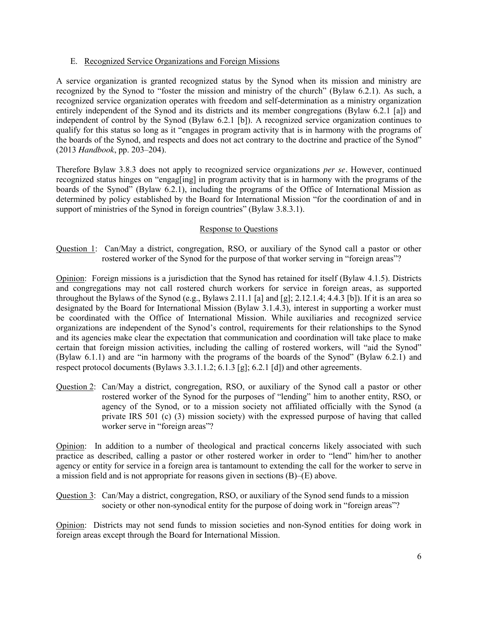### E. Recognized Service Organizations and Foreign Missions

A service organization is granted recognized status by the Synod when its mission and ministry are recognized by the Synod to "foster the mission and ministry of the church" (Bylaw 6.2.1). As such, a recognized service organization operates with freedom and self-determination as a ministry organization entirely independent of the Synod and its districts and its member congregations (Bylaw 6.2.1 [a]) and independent of control by the Synod (Bylaw 6.2.1 [b]). A recognized service organization continues to qualify for this status so long as it "engages in program activity that is in harmony with the programs of the boards of the Synod, and respects and does not act contrary to the doctrine and practice of the Synod" (2013 *Handbook*, pp. 203–204).

Therefore Bylaw 3.8.3 does not apply to recognized service organizations *per se.* However, continued recognized status hinges on "engag[ing] in program activity that is in harmony with the programs of the boards of the Synod" (Bylaw 6.2.1), including the programs of the Office of International Mission as determined by policy established by the Board for International Mission "for the coordination of and in support of ministries of the Synod in foreign countries" (Bylaw 3.8.3.1).

## Response to Questions

Question 1: Can/May a district, congregation, RSO, or auxiliary of the Synod call a pastor or other rostered worker of the Synod for the purpose of that worker serving in "foreign areas"?

Opinion: Foreign missions is a jurisdiction that the Synod has retained for itself (Bylaw 4.1.5). Districts and congregations may not call rostered church workers for service in foreign areas, as supported throughout the Bylaws of the Synod (e.g., Bylaws 2.11.1 [a] and [g]; 2.12.1.4; 4.4.3 [b]). If it is an area so designated by the Board for International Mission (Bylaw 3.1.4.3), interest in supporting a worker must be coordinated with the Office of International Mission. While auxiliaries and recognized service organizations are independent of the Synod's control, requirements for their relationships to the Synod and its agencies make clear the expectation that communication and coordination will take place to make certain that foreign mission activities, including the calling of rostered workers, will "aid the Synod" (Bylaw 6.1.1) and are "in harmony with the programs of the boards of the Synod" (Bylaw 6.2.1) and respect protocol documents (Bylaws 3.3.1.1.2; 6.1.3 [g]; 6.2.1 [d]) and other agreements.

Question 2: Can/May a district, congregation, RSO, or auxiliary of the Synod call a pastor or other rostered worker of the Synod for the purposes of "lending" him to another entity, RSO, or agency of the Synod, or to a mission society not affiliated officially with the Synod (a private IRS 501 (c) (3) mission society) with the expressed purpose of having that called worker serve in "foreign areas"?

Opinion: In addition to a number of theological and practical concerns likely associated with such practice as described, calling a pastor or other rostered worker in order to "lend" him/her to another agency or entity for service in a foreign area is tantamount to extending the call for the worker to serve in a mission field and is not appropriate for reasons given in sections (B)–(E) above.

Question 3: Can/May a district, congregation, RSO, or auxiliary of the Synod send funds to a mission society or other non-synodical entity for the purpose of doing work in "foreign areas"?

Opinion: Districts may not send funds to mission societies and non-Synod entities for doing work in foreign areas except through the Board for International Mission.